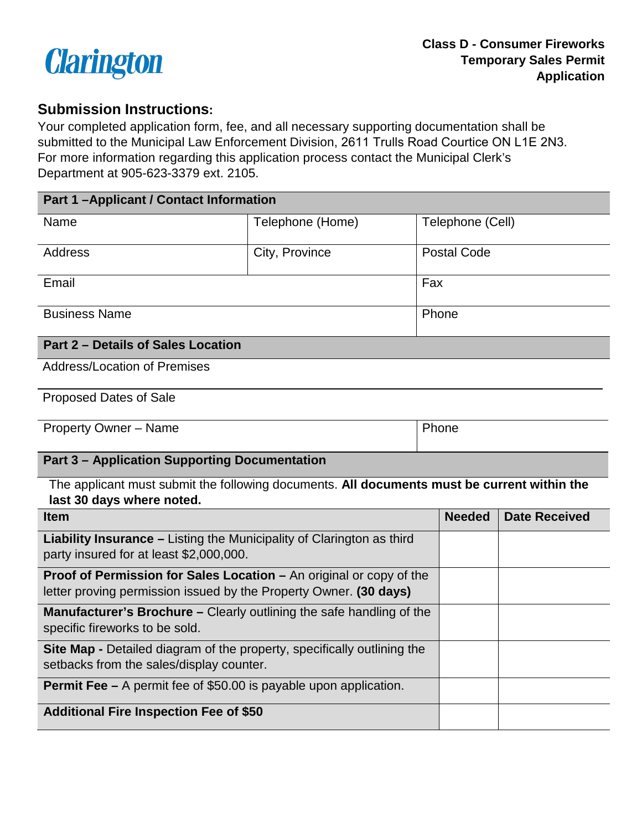

## **Submission Instructions:**

Your completed application form, fee, and all necessary supporting documentation shall be submitted to the Municipal Law Enforcement Division, 2611 Trulls Road Courtice ON L1E 2N3. For more information regarding this application process contact the Municipal Clerk's Department at 905-623-3379 ext. 2105.

| <b>Part 1-Applicant / Contact Information</b> |                  |                    |  |  |
|-----------------------------------------------|------------------|--------------------|--|--|
| Name                                          | Telephone (Home) | Telephone (Cell)   |  |  |
| Address                                       | City, Province   | <b>Postal Code</b> |  |  |
| Email                                         |                  | Fax                |  |  |
| <b>Business Name</b>                          |                  | Phone              |  |  |
| <b>Part 2 - Details of Sales Location</b>     |                  |                    |  |  |
| <b>Address/Location of Premises</b>           |                  |                    |  |  |

Proposed Dates of Sale

| <b>Property Owner - Name</b> | Phone |
|------------------------------|-------|
|------------------------------|-------|

## **Part 3 – Application Supporting Documentation**

 The applicant must submit the following documents. **All documents must be current within the** 

| last 30 days where noted.                                                                                                                       |               |                      |
|-------------------------------------------------------------------------------------------------------------------------------------------------|---------------|----------------------|
| <b>Item</b>                                                                                                                                     | <b>Needed</b> | <b>Date Received</b> |
| <b>Liability Insurance – Listing the Municipality of Clarington as third</b><br>party insured for at least \$2,000,000.                         |               |                      |
| <b>Proof of Permission for Sales Location – An original or copy of the</b><br>letter proving permission issued by the Property Owner. (30 days) |               |                      |
| <b>Manufacturer's Brochure - Clearly outlining the safe handling of the</b><br>specific fireworks to be sold.                                   |               |                      |
| <b>Site Map -</b> Detailed diagram of the property, specifically outlining the<br>setbacks from the sales/display counter.                      |               |                      |
| <b>Permit Fee –</b> A permit fee of \$50.00 is payable upon application.                                                                        |               |                      |
| <b>Additional Fire Inspection Fee of \$50</b>                                                                                                   |               |                      |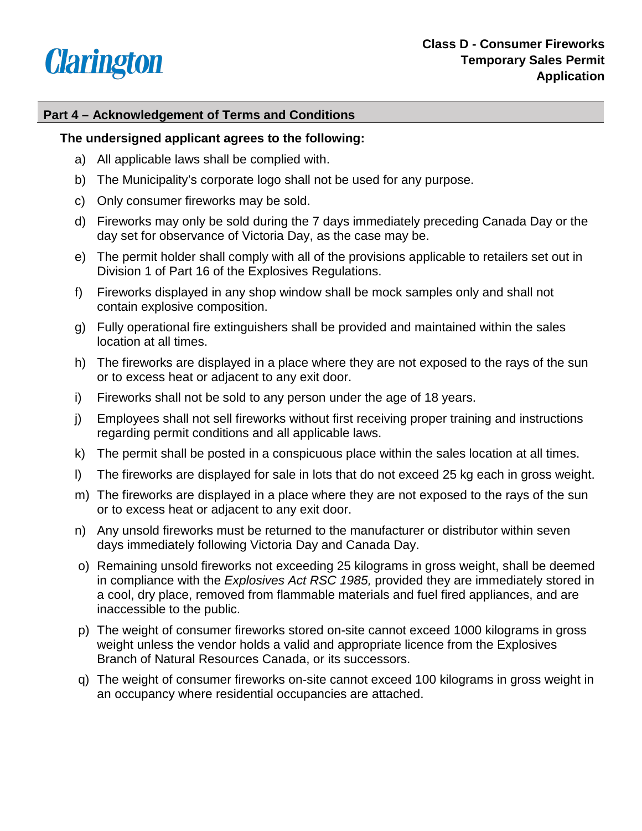

## **Part 4 – Acknowledgement of Terms and Conditions**

## **The undersigned applicant agrees to the following:**

- a) All applicable laws shall be complied with.
- b) The Municipality's corporate logo shall not be used for any purpose.
- c) Only consumer fireworks may be sold.
- day set for observance of Victoria Day, as the case may be. d) Fireworks may only be sold during the 7 days immediately preceding Canada Day or the
- e) The permit holder shall comply with all of the provisions applicable to retailers set out in Division 1 of Part 16 of the Explosives Regulations.
- f) Fireworks displayed in any shop window shall be mock samples only and shall not contain explosive composition.
- g) Fully operational fire extinguishers shall be provided and maintained within the sales location at all times.
- h) The fireworks are displayed in a place where they are not exposed to the rays of the sun or to excess heat or adjacent to any exit door.
- i) Fireworks shall not be sold to any person under the age of 18 years.
- j) Employees shall not sell fireworks without first receiving proper training and instructions regarding permit conditions and all applicable laws.
- k) The permit shall be posted in a conspicuous place within the sales location at all times.
- l) The fireworks are displayed for sale in lots that do not exceed 25 kg each in gross weight.
- m) The fireworks are displayed in a place where they are not exposed to the rays of the sun or to excess heat or adjacent to any exit door.
- n) Any unsold fireworks must be returned to the manufacturer or distributor within seven days immediately following Victoria Day and Canada Day.
- o) Remaining unsold fireworks not exceeding 25 kilograms in gross weight, shall be deemed in compliance with the *Explosives Act RSC 1985,* provided they are immediately stored in a cool, dry place, removed from flammable materials and fuel fired appliances, and are inaccessible to the public.
- Branch of Natural Resources Canada, or its successors. p) The weight of consumer fireworks stored on-site cannot exceed 1000 kilograms in gross weight unless the vendor holds a valid and appropriate licence from the Explosives
- q) The weight of consumer fireworks on-site cannot exceed 100 kilograms in gross weight in an occupancy where residential occupancies are attached.